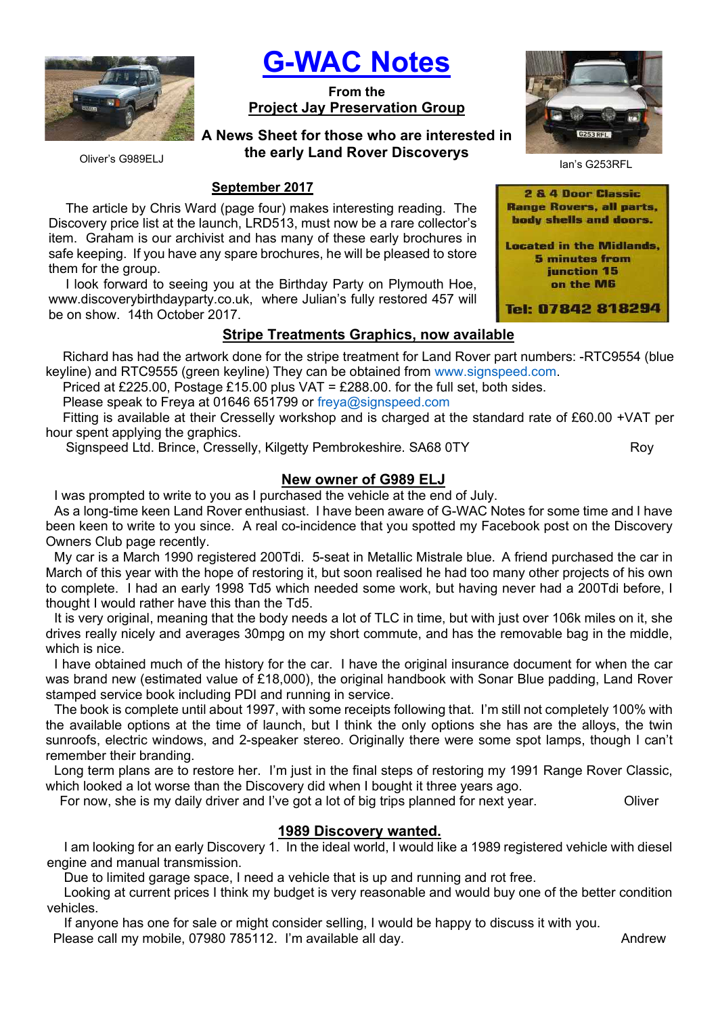

G-WAC Notes

From the Project Jay Preservation Group

A News Sheet for those who are interested in the early Land Rover Discoverys



## September 2017

The article by Chris Ward (page four) makes interesting reading. The Discovery price list at the launch, LRD513, must now be a rare collector's item. Graham is our archivist and has many of these early brochures in safe keeping. If you have any spare brochures, he will be pleased to store them for the group.

I look forward to seeing you at the Birthday Party on Plymouth Hoe, www.discoverybirthdayparty.co.uk, where Julian's fully restored 457 will be on show. 14th October 2017.

## Stripe Treatments Graphics, now available

Richard has had the artwork done for the stripe treatment for Land Rover part numbers: -RTC9554 (blue keyline) and RTC9555 (green keyline) They can be obtained from www.signspeed.com.

Priced at £225.00, Postage £15.00 plus VAT = £288.00, for the full set, both sides.

Please speak to Freya at 01646 651799 or freya@signspeed.com

Fitting is available at their Cresselly workshop and is charged at the standard rate of £60.00 +VAT per hour spent applying the graphics.

Signspeed Ltd. Brince, Cresselly, Kilgetty Pembrokeshire. SA68 0TY Roy

# New owner of G989 ELJ

I was prompted to write to you as I purchased the vehicle at the end of July.

As a long-time keen Land Rover enthusiast. I have been aware of G-WAC Notes for some time and I have been keen to write to you since. A real co-incidence that you spotted my Facebook post on the Discovery Owners Club page recently.

My car is a March 1990 registered 200Tdi. 5-seat in Metallic Mistrale blue. A friend purchased the car in March of this year with the hope of restoring it, but soon realised he had too many other projects of his own to complete. I had an early 1998 Td5 which needed some work, but having never had a 200Tdi before, I thought I would rather have this than the Td5.

It is very original, meaning that the body needs a lot of TLC in time, but with just over 106k miles on it, she drives really nicely and averages 30mpg on my short commute, and has the removable bag in the middle, which is nice.

I have obtained much of the history for the car. I have the original insurance document for when the car was brand new (estimated value of £18,000), the original handbook with Sonar Blue padding, Land Rover stamped service book including PDI and running in service.

The book is complete until about 1997, with some receipts following that. I'm still not completely 100% with the available options at the time of launch, but I think the only options she has are the alloys, the twin sunroofs, electric windows, and 2-speaker stereo. Originally there were some spot lamps, though I can't remember their branding.

Long term plans are to restore her. I'm just in the final steps of restoring my 1991 Range Rover Classic, which looked a lot worse than the Discovery did when I bought it three years ago.

For now, she is my daily driver and I've got a lot of big trips planned for next year. Oliver

# 1989 Discovery wanted.

I am looking for an early Discovery 1. In the ideal world, I would like a 1989 registered vehicle with diesel engine and manual transmission.

Due to limited garage space, I need a vehicle that is up and running and rot free.

Looking at current prices I think my budget is very reasonable and would buy one of the better condition vehicles.

If anyone has one for sale or might consider selling, I would be happy to discuss it with you. Please call my mobile, 07980 785112. I'm available all day. Andrew Mandrew



Ian's G253RFL

<sup>2 &</sup>amp; 4 Door Classic **Range Rovers, all parts,** body shells and doors. **Located in the Midlands, 5 minutes from** junction 15 on the M6 Tel: 07842 818294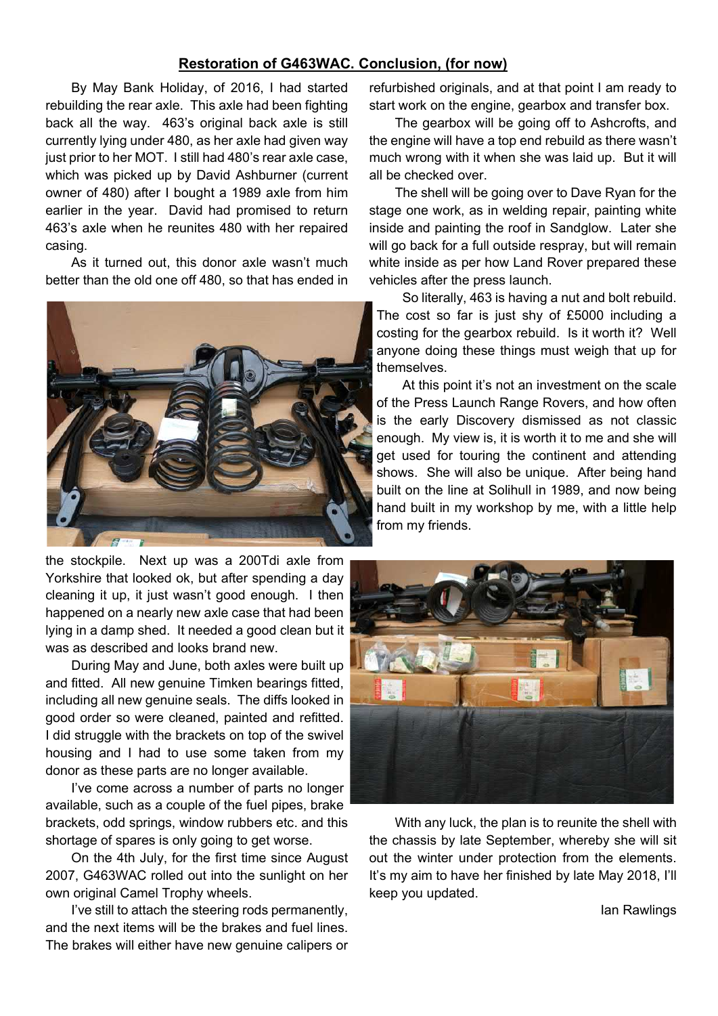## Restoration of G463WAC. Conclusion, (for now)

By May Bank Holiday, of 2016, I had started rebuilding the rear axle. This axle had been fighting back all the way. 463's original back axle is still currently lying under 480, as her axle had given way just prior to her MOT. I still had 480's rear axle case, which was picked up by David Ashburner (current owner of 480) after I bought a 1989 axle from him earlier in the year. David had promised to return 463's axle when he reunites 480 with her repaired casing.

As it turned out, this donor axle wasn't much better than the old one off 480, so that has ended in



the stockpile. Next up was a 200Tdi axle from Yorkshire that looked ok, but after spending a day cleaning it up, it just wasn't good enough. I then happened on a nearly new axle case that had been lying in a damp shed. It needed a good clean but it was as described and looks brand new.

During May and June, both axles were built up and fitted. All new genuine Timken bearings fitted, including all new genuine seals. The diffs looked in good order so were cleaned, painted and refitted. I did struggle with the brackets on top of the swivel housing and I had to use some taken from my donor as these parts are no longer available.

I've come across a number of parts no longer available, such as a couple of the fuel pipes, brake brackets, odd springs, window rubbers etc. and this shortage of spares is only going to get worse.

On the 4th July, for the first time since August 2007, G463WAC rolled out into the sunlight on her own original Camel Trophy wheels.

I've still to attach the steering rods permanently, and the next items will be the brakes and fuel lines. The brakes will either have new genuine calipers or

refurbished originals, and at that point I am ready to start work on the engine, gearbox and transfer box.

The gearbox will be going off to Ashcrofts, and the engine will have a top end rebuild as there wasn't much wrong with it when she was laid up. But it will all be checked over.

The shell will be going over to Dave Ryan for the stage one work, as in welding repair, painting white inside and painting the roof in Sandglow. Later she will go back for a full outside respray, but will remain white inside as per how Land Rover prepared these vehicles after the press launch.

So literally, 463 is having a nut and bolt rebuild. The cost so far is just shy of £5000 including a costing for the gearbox rebuild. Is it worth it? Well anyone doing these things must weigh that up for themselves.

At this point it's not an investment on the scale of the Press Launch Range Rovers, and how often is the early Discovery dismissed as not classic enough. My view is, it is worth it to me and she will get used for touring the continent and attending shows. She will also be unique. After being hand built on the line at Solihull in 1989, and now being hand built in my workshop by me, with a little help from my friends.



With any luck, the plan is to reunite the shell with the chassis by late September, whereby she will sit out the winter under protection from the elements. It's my aim to have her finished by late May 2018, I'll keep you updated.

Ian Rawlings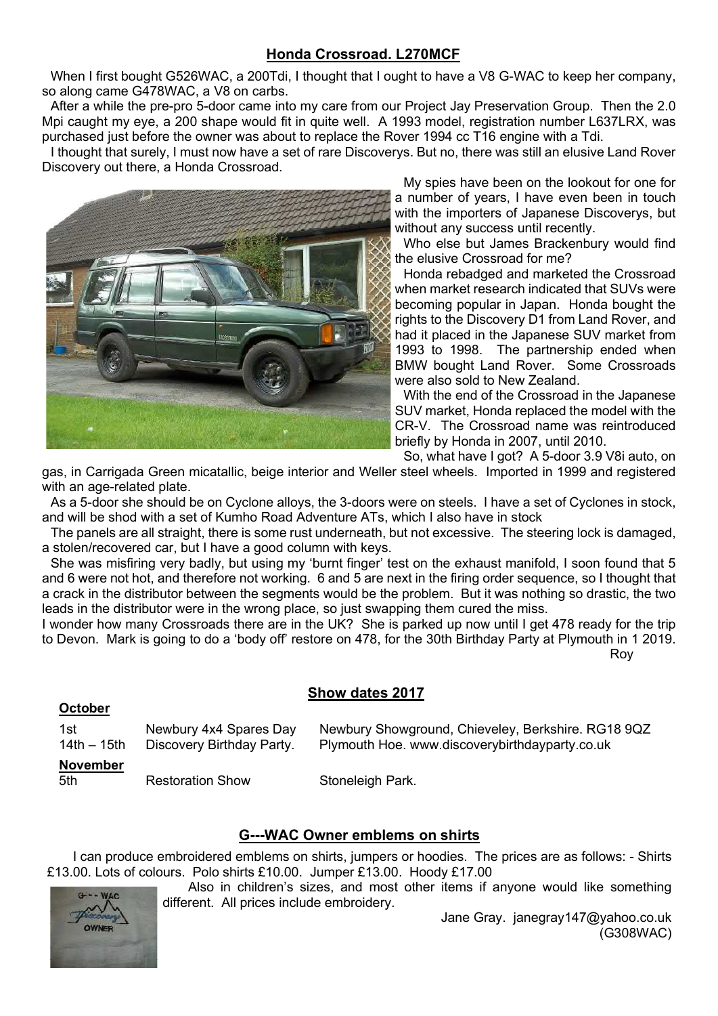# Honda Crossroad. L270MCF

When I first bought G526WAC, a 200Tdi, I thought that I ought to have a V8 G-WAC to keep her company, so along came G478WAC, a V8 on carbs.

After a while the pre-pro 5-door came into my care from our Project Jay Preservation Group. Then the 2.0 Mpi caught my eye, a 200 shape would fit in quite well. A 1993 model, registration number L637LRX, was purchased just before the owner was about to replace the Rover 1994 cc T16 engine with a Tdi.

I thought that surely, I must now have a set of rare Discoverys. But no, there was still an elusive Land Rover Discovery out there, a Honda Crossroad.



My spies have been on the lookout for one for a number of years, I have even been in touch with the importers of Japanese Discoverys, but without any success until recently.

Who else but James Brackenbury would find the elusive Crossroad for me?

Honda rebadged and marketed the Crossroad when market research indicated that SUVs were becoming popular in Japan. Honda bought the rights to the Discovery D1 from Land Rover, and had it placed in the Japanese SUV market from 1993 to 1998. The partnership ended when BMW bought Land Rover. Some Crossroads were also sold to New Zealand.

With the end of the Crossroad in the Japanese SUV market, Honda replaced the model with the CR-V. The Crossroad name was reintroduced briefly by Honda in 2007, until 2010.

So, what have I got? A 5-door 3.9 V8i auto, on

gas, in Carrigada Green micatallic, beige interior and Weller steel wheels. Imported in 1999 and registered with an age-related plate.

As a 5-door she should be on Cyclone alloys, the 3-doors were on steels. I have a set of Cyclones in stock, and will be shod with a set of Kumho Road Adventure ATs, which I also have in stock

The panels are all straight, there is some rust underneath, but not excessive. The steering lock is damaged, a stolen/recovered car, but I have a good column with keys.

She was misfiring very badly, but using my 'burnt finger' test on the exhaust manifold, I soon found that 5 and 6 were not hot, and therefore not working. 6 and 5 are next in the firing order sequence, so I thought that a crack in the distributor between the segments would be the problem. But it was nothing so drastic, the two leads in the distributor were in the wrong place, so just swapping them cured the miss.

I wonder how many Crossroads there are in the UK? She is parked up now until I get 478 ready for the trip to Devon. Mark is going to do a 'body off' restore on 478, for the 30th Birthday Party at Plymouth in 1 2019. ng taun 1999 na mga kalawang mga kalendaryon ng mga kalawang mga kalendaryon ng mga kalendaryon ng mga kalenda

## Show dates 2017

| 1st                    | Newbury 4x4 Spares Day    | Newbury Showground, Chieveley, Berkshire. RG18 9QZ |
|------------------------|---------------------------|----------------------------------------------------|
| $14th - 15th$          | Discovery Birthday Party. | Plymouth Hoe. www.discoverybirthdayparty.co.uk     |
| <b>November</b><br>5th | <b>Restoration Show</b>   | Stoneleigh Park.                                   |

## G---WAC Owner emblems on shirts

I can produce embroidered emblems on shirts, jumpers or hoodies. The prices are as follows: - Shirts £13.00. Lots of colours. Polo shirts £10.00. Jumper £13.00. Hoody £17.00

Also in children's sizes, and most other items if anyone would like something different. All prices include embroidery.



October

Jane Gray. janegray147@yahoo.co.uk (G308WAC)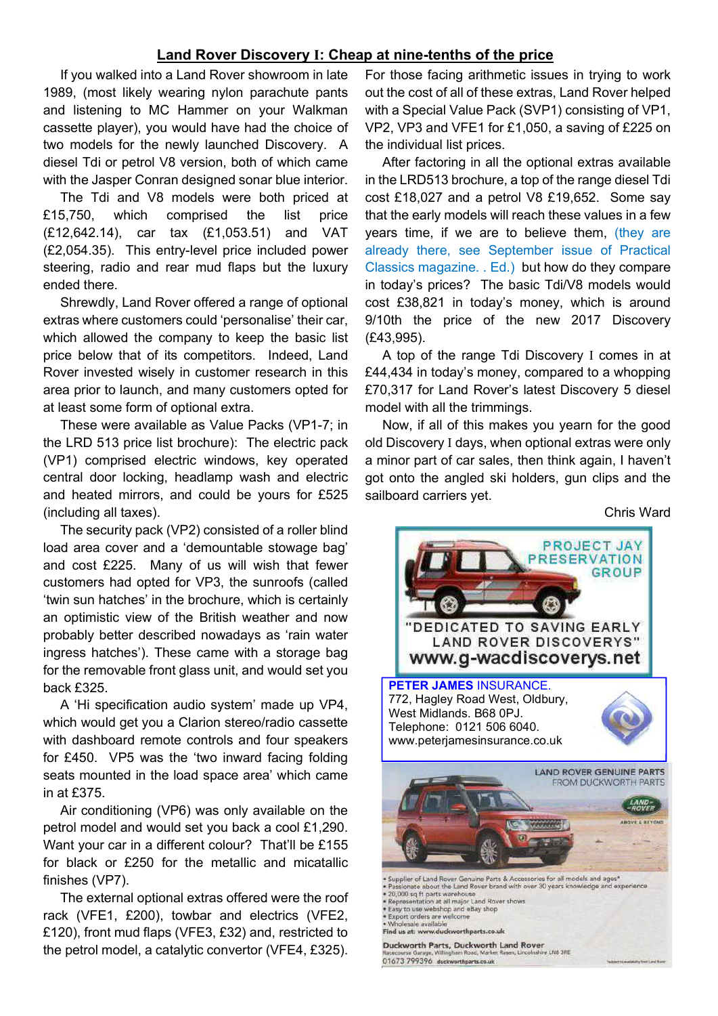### Land Rover Discovery I: Cheap at nine-tenths of the price

If you walked into a Land Rover showroom in late 1989, (most likely wearing nylon parachute pants and listening to MC Hammer on your Walkman cassette player), you would have had the choice of two models for the newly launched Discovery. A diesel Tdi or petrol V8 version, both of which came with the Jasper Conran designed sonar blue interior.

The Tdi and V8 models were both priced at £15,750, which comprised the list price (£12,642.14), car tax (£1,053.51) and VAT (£2,054.35). This entry-level price included power steering, radio and rear mud flaps but the luxury ended there.

Shrewdly, Land Rover offered a range of optional extras where customers could 'personalise' their car, which allowed the company to keep the basic list price below that of its competitors. Indeed, Land Rover invested wisely in customer research in this area prior to launch, and many customers opted for at least some form of optional extra.

These were available as Value Packs (VP1-7; in the LRD 513 price list brochure): The electric pack (VP1) comprised electric windows, key operated central door locking, headlamp wash and electric and heated mirrors, and could be yours for £525 (including all taxes).

The security pack (VP2) consisted of a roller blind load area cover and a 'demountable stowage bag' and cost £225. Many of us will wish that fewer customers had opted for VP3, the sunroofs (called 'twin sun hatches' in the brochure, which is certainly an optimistic view of the British weather and now probably better described nowadays as 'rain water ingress hatches'). These came with a storage bag for the removable front glass unit, and would set you back £325.

A 'Hi specification audio system' made up VP4, which would get you a Clarion stereo/radio cassette with dashboard remote controls and four speakers for £450. VP5 was the 'two inward facing folding seats mounted in the load space area' which came in at £375.

Air conditioning (VP6) was only available on the petrol model and would set you back a cool £1,290. Want your car in a different colour? That'll be £155 for black or £250 for the metallic and micatallic finishes (VP7).

The external optional extras offered were the roof rack (VFE1, £200), towbar and electrics (VFE2, £120), front mud flaps (VFE3, £32) and, restricted to the petrol model, a catalytic convertor (VFE4, £325).

For those facing arithmetic issues in trying to work out the cost of all of these extras, Land Rover helped with a Special Value Pack (SVP1) consisting of VP1, VP2, VP3 and VFE1 for £1,050, a saving of £225 on the individual list prices.

After factoring in all the optional extras available in the LRD513 brochure, a top of the range diesel Tdi cost £18,027 and a petrol V8 £19,652. Some say that the early models will reach these values in a few years time, if we are to believe them, (they are already there, see September issue of Practical Classics magazine. . Ed.) but how do they compare in today's prices? The basic Tdi/V8 models would cost £38,821 in today's money, which is around 9/10th the price of the new 2017 Discovery (£43,995).

A top of the range Tdi Discovery I comes in at £44,434 in today's money, compared to a whopping £70,317 for Land Rover's latest Discovery 5 diesel model with all the trimmings.

Now, if all of this makes you yearn for the good old Discovery I days, when optional extras were only a minor part of car sales, then think again, I haven't got onto the angled ski holders, gun clips and the sailboard carriers yet.

Chris Ward